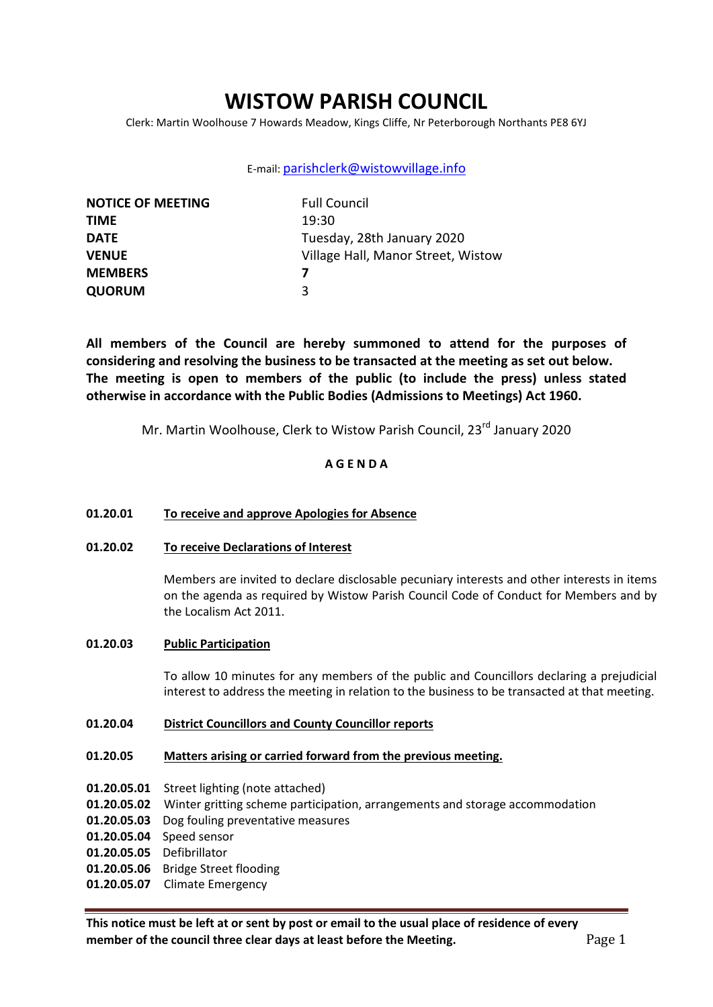# **WISTOW PARISH COUNCIL**

Clerk: Martin Woolhouse 7 Howards Meadow, Kings Cliffe, Nr Peterborough Northants PE8 6YJ

# E-mail: [parishclerk@wistowvillage.info](mailto:parishclerk@wistowvillage.info)

| <b>NOTICE OF MEETING</b> | <b>Full Council</b>                |
|--------------------------|------------------------------------|
| <b>TIME</b>              | 19:30                              |
| <b>DATE</b>              | Tuesday, 28th January 2020         |
| <b>VENUE</b>             | Village Hall, Manor Street, Wistow |
| <b>MEMBERS</b>           |                                    |
| <b>QUORUM</b>            | ર                                  |

**All members of the Council are hereby summoned to attend for the purposes of considering and resolving the business to be transacted at the meeting as set out below. The meeting is open to members of the public (to include the press) unless stated otherwise in accordance with the Public Bodies (Admissions to Meetings) Act 1960.**

Mr. Martin Woolhouse, Clerk to Wistow Parish Council, 23<sup>rd</sup> January 2020

# **A G E N D A**

# **01.20.01 To receive and approve Apologies for Absence**

**01.20.02 To receive Declarations of Interest**

Members are invited to declare disclosable pecuniary interests and other interests in items on the agenda as required by Wistow Parish Council Code of Conduct for Members and by the Localism Act 2011.

# **01.20.03 Public Participation**

To allow 10 minutes for any members of the public and Councillors declaring a prejudicial interest to address the meeting in relation to the business to be transacted at that meeting.

# **01.20.04 District Councillors and County Councillor reports**

# **01.20.05 Matters arising or carried forward from the previous meeting.**

- **01.20.05.01** Street lighting (note attached)
- **01.20.05.02** Winter gritting scheme participation, arrangements and storage accommodation
- **01.20.05.03** Dog fouling preventative measures
- **01.20.05.04** Speed sensor
- **01.20.05.05** Defibrillator
- **01.20.05.06** Bridge Street flooding
- **01.20.05.07** Climate Emergency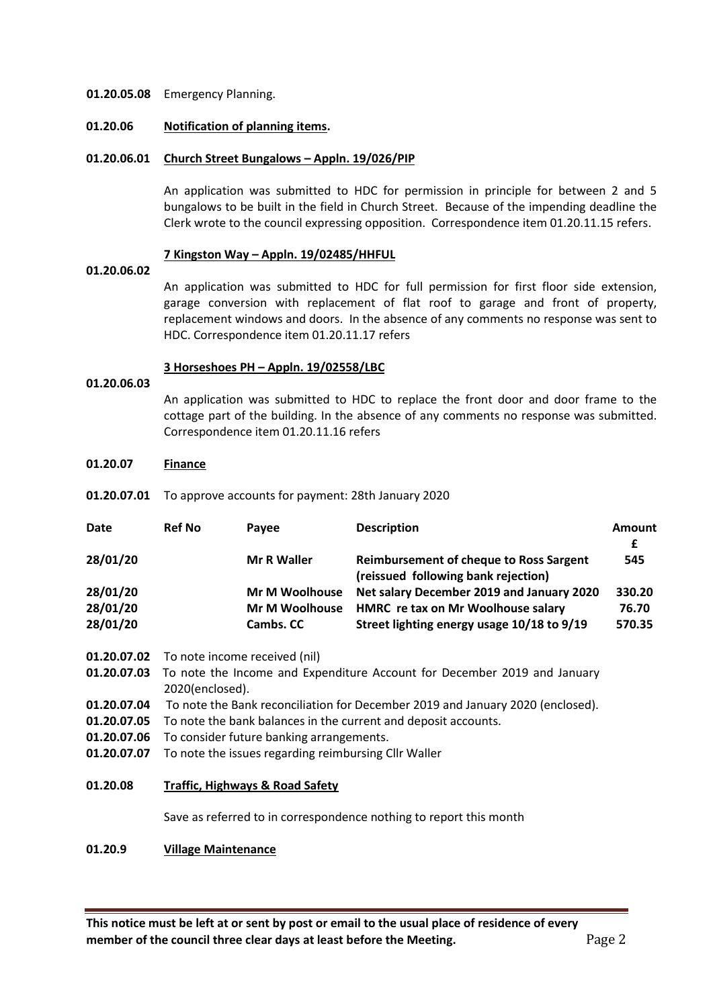### **01.20.05.08** Emergency Planning.

#### **01.20.06 Notification of planning items.**

# **01.20.06.01 Church Street Bungalows – Appln. 19/026/PIP**

An application was submitted to HDC for permission in principle for between 2 and 5 bungalows to be built in the field in Church Street. Because of the impending deadline the Clerk wrote to the council expressing opposition. Correspondence item 01.20.11.15 refers.

### **7 Kingston Way – Appln. 19/02485/HHFUL**

# **01.20.06.02**

An application was submitted to HDC for full permission for first floor side extension, garage conversion with replacement of flat roof to garage and front of property, replacement windows and doors. In the absence of any comments no response was sent to HDC. Correspondence item 01.20.11.17 refers

### **3 Horseshoes PH – Appln. 19/02558/LBC**

#### **01.20.06.03**

An application was submitted to HDC to replace the front door and door frame to the cottage part of the building. In the absence of any comments no response was submitted. Correspondence item 01.20.11.16 refers

#### **01.20.07 Finance**

**01.20.07.01** To approve accounts for payment: 28th January 2020

| <b>Date</b> | <b>Ref No</b> | Pavee                 | <b>Description</b>                                                                    | Amount |
|-------------|---------------|-----------------------|---------------------------------------------------------------------------------------|--------|
|             |               |                       |                                                                                       | £      |
| 28/01/20    |               | <b>Mr R Waller</b>    | <b>Reimbursement of cheque to Ross Sargent</b><br>(reissued following bank rejection) | 545    |
| 28/01/20    |               | <b>Mr M Woolhouse</b> | Net salary December 2019 and January 2020                                             | 330.20 |
| 28/01/20    |               | <b>Mr M Woolhouse</b> | HMRC re tax on Mr Woolhouse salary                                                    | 76.70  |
| 28/01/20    |               | Cambs. CC             | Street lighting energy usage 10/18 to 9/19                                            | 570.35 |

- **01.20.07.02** To note income received (nil)
- **01.20.07.03** To note the Income and Expenditure Account for December 2019 and January 2020(enclosed).
- **01.20.07.04** To note the Bank reconciliation for December 2019 and January 2020 (enclosed).
- **01.20.07.05** To note the bank balances in the current and deposit accounts.
- **01.20.07.06** To consider future banking arrangements.
- **01.20.07.07** To note the issues regarding reimbursing Cllr Waller
- **01.20.08 Traffic, Highways & Road Safety**

Save as referred to in correspondence nothing to report this month

# **01.20.9 Village Maintenance**